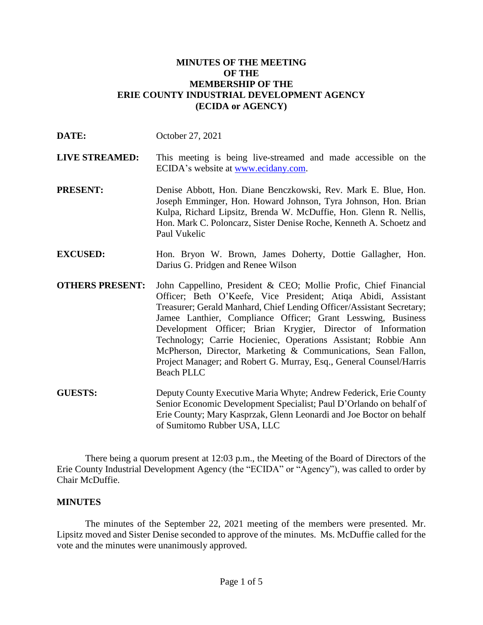## **MINUTES OF THE MEETING OF THE MEMBERSHIP OF THE ERIE COUNTY INDUSTRIAL DEVELOPMENT AGENCY (ECIDA or AGENCY)**

| DATE:                  | October 27, 2021                                                                                                                                                                                                                                                                                                                                                                                                                                                                                                                                                         |
|------------------------|--------------------------------------------------------------------------------------------------------------------------------------------------------------------------------------------------------------------------------------------------------------------------------------------------------------------------------------------------------------------------------------------------------------------------------------------------------------------------------------------------------------------------------------------------------------------------|
| <b>LIVE STREAMED:</b>  | This meeting is being live-streamed and made accessible on the<br>ECIDA's website at <u>www.ecidany.com</u> .                                                                                                                                                                                                                                                                                                                                                                                                                                                            |
| <b>PRESENT:</b>        | Denise Abbott, Hon. Diane Benczkowski, Rev. Mark E. Blue, Hon.<br>Joseph Emminger, Hon. Howard Johnson, Tyra Johnson, Hon. Brian<br>Kulpa, Richard Lipsitz, Brenda W. McDuffie, Hon. Glenn R. Nellis,<br>Hon. Mark C. Poloncarz, Sister Denise Roche, Kenneth A. Schoetz and<br>Paul Vukelic                                                                                                                                                                                                                                                                             |
| <b>EXCUSED:</b>        | Hon. Bryon W. Brown, James Doherty, Dottie Gallagher, Hon.<br>Darius G. Pridgen and Renee Wilson                                                                                                                                                                                                                                                                                                                                                                                                                                                                         |
| <b>OTHERS PRESENT:</b> | John Cappellino, President & CEO; Mollie Profic, Chief Financial<br>Officer; Beth O'Keefe, Vice President; Atiqa Abidi, Assistant<br>Treasurer; Gerald Manhard, Chief Lending Officer/Assistant Secretary;<br>Jamee Lanthier, Compliance Officer; Grant Lesswing, Business<br>Development Officer; Brian Krygier, Director of Information<br>Technology; Carrie Hocieniec, Operations Assistant; Robbie Ann<br>McPherson, Director, Marketing & Communications, Sean Fallon,<br>Project Manager; and Robert G. Murray, Esq., General Counsel/Harris<br><b>Beach PLLC</b> |
| <b>GUESTS:</b>         | Deputy County Executive Maria Whyte; Andrew Federick, Erie County<br>Senior Economic Development Specialist; Paul D'Orlando on behalf of<br>Erie County; Mary Kasprzak, Glenn Leonardi and Joe Boctor on behalf<br>of Sumitomo Rubber USA, LLC                                                                                                                                                                                                                                                                                                                           |

There being a quorum present at 12:03 p.m., the Meeting of the Board of Directors of the Erie County Industrial Development Agency (the "ECIDA" or "Agency"), was called to order by Chair McDuffie.

## **MINUTES**

The minutes of the September 22, 2021 meeting of the members were presented. Mr. Lipsitz moved and Sister Denise seconded to approve of the minutes. Ms. McDuffie called for the vote and the minutes were unanimously approved.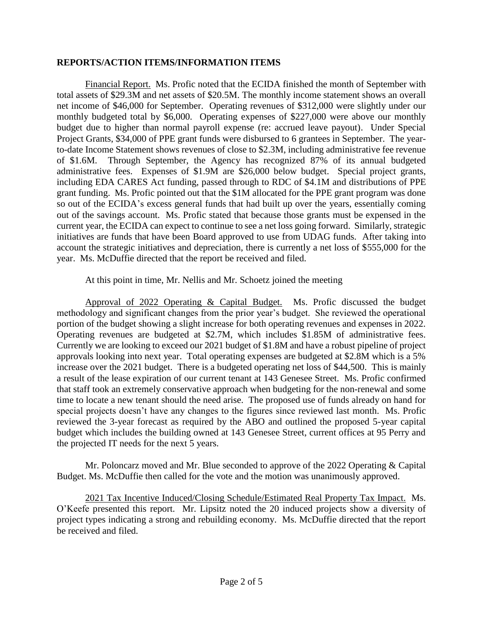### **REPORTS/ACTION ITEMS/INFORMATION ITEMS**

Financial Report. Ms. Profic noted that the ECIDA finished the month of September with total assets of \$29.3M and net assets of \$20.5M. The monthly income statement shows an overall net income of \$46,000 for September. Operating revenues of \$312,000 were slightly under our monthly budgeted total by \$6,000. Operating expenses of \$227,000 were above our monthly budget due to higher than normal payroll expense (re: accrued leave payout). Under Special Project Grants, \$34,000 of PPE grant funds were disbursed to 6 grantees in September. The yearto-date Income Statement shows revenues of close to \$2.3M, including administrative fee revenue of \$1.6M. Through September, the Agency has recognized 87% of its annual budgeted administrative fees. Expenses of \$1.9M are \$26,000 below budget. Special project grants, including EDA CARES Act funding, passed through to RDC of \$4.1M and distributions of PPE grant funding. Ms. Profic pointed out that the \$1M allocated for the PPE grant program was done so out of the ECIDA's excess general funds that had built up over the years, essentially coming out of the savings account. Ms. Profic stated that because those grants must be expensed in the current year, the ECIDA can expect to continue to see a net loss going forward. Similarly, strategic initiatives are funds that have been Board approved to use from UDAG funds. After taking into account the strategic initiatives and depreciation, there is currently a net loss of \$555,000 for the year. Ms. McDuffie directed that the report be received and filed.

At this point in time, Mr. Nellis and Mr. Schoetz joined the meeting

Approval of 2022 Operating & Capital Budget. Ms. Profic discussed the budget methodology and significant changes from the prior year's budget. She reviewed the operational portion of the budget showing a slight increase for both operating revenues and expenses in 2022. Operating revenues are budgeted at \$2.7M, which includes \$1.85M of administrative fees. Currently we are looking to exceed our 2021 budget of \$1.8M and have a robust pipeline of project approvals looking into next year. Total operating expenses are budgeted at \$2.8M which is a 5% increase over the 2021 budget. There is a budgeted operating net loss of \$44,500. This is mainly a result of the lease expiration of our current tenant at 143 Genesee Street. Ms. Profic confirmed that staff took an extremely conservative approach when budgeting for the non-renewal and some time to locate a new tenant should the need arise. The proposed use of funds already on hand for special projects doesn't have any changes to the figures since reviewed last month. Ms. Profic reviewed the 3-year forecast as required by the ABO and outlined the proposed 5-year capital budget which includes the building owned at 143 Genesee Street, current offices at 95 Perry and the projected IT needs for the next 5 years.

Mr. Poloncarz moved and Mr. Blue seconded to approve of the 2022 Operating & Capital Budget. Ms. McDuffie then called for the vote and the motion was unanimously approved.

2021 Tax Incentive Induced/Closing Schedule/Estimated Real Property Tax Impact. Ms. O'Keefe presented this report. Mr. Lipsitz noted the 20 induced projects show a diversity of project types indicating a strong and rebuilding economy. Ms. McDuffie directed that the report be received and filed.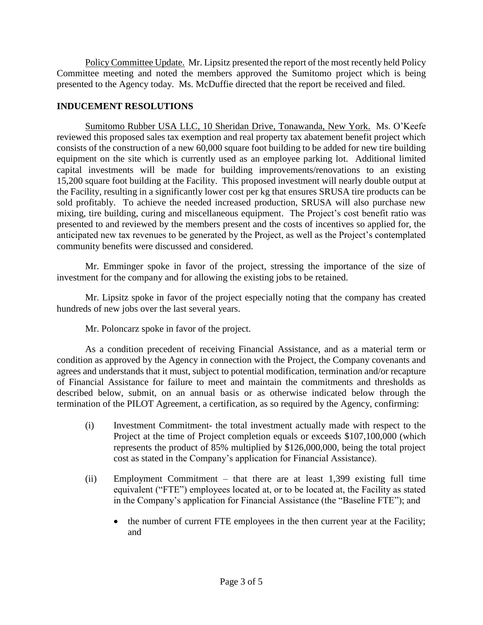Policy Committee Update. Mr. Lipsitz presented the report of the most recently held Policy Committee meeting and noted the members approved the Sumitomo project which is being presented to the Agency today. Ms. McDuffie directed that the report be received and filed.

# **INDUCEMENT RESOLUTIONS**

Sumitomo Rubber USA LLC, 10 Sheridan Drive, Tonawanda, New York. Ms. O'Keefe reviewed this proposed sales tax exemption and real property tax abatement benefit project which consists of the construction of a new 60,000 square foot building to be added for new tire building equipment on the site which is currently used as an employee parking lot. Additional limited capital investments will be made for building improvements/renovations to an existing 15,200 square foot building at the Facility. This proposed investment will nearly double output at the Facility, resulting in a significantly lower cost per kg that ensures SRUSA tire products can be sold profitably. To achieve the needed increased production, SRUSA will also purchase new mixing, tire building, curing and miscellaneous equipment. The Project's cost benefit ratio was presented to and reviewed by the members present and the costs of incentives so applied for, the anticipated new tax revenues to be generated by the Project, as well as the Project's contemplated community benefits were discussed and considered.

Mr. Emminger spoke in favor of the project, stressing the importance of the size of investment for the company and for allowing the existing jobs to be retained.

Mr. Lipsitz spoke in favor of the project especially noting that the company has created hundreds of new jobs over the last several years.

Mr. Poloncarz spoke in favor of the project.

As a condition precedent of receiving Financial Assistance, and as a material term or condition as approved by the Agency in connection with the Project, the Company covenants and agrees and understands that it must, subject to potential modification, termination and/or recapture of Financial Assistance for failure to meet and maintain the commitments and thresholds as described below, submit, on an annual basis or as otherwise indicated below through the termination of the PILOT Agreement, a certification, as so required by the Agency, confirming:

- (i) Investment Commitment- the total investment actually made with respect to the Project at the time of Project completion equals or exceeds \$107,100,000 (which represents the product of 85% multiplied by \$126,000,000, being the total project cost as stated in the Company's application for Financial Assistance).
- (ii) Employment Commitment that there are at least 1,399 existing full time equivalent ("FTE") employees located at, or to be located at, the Facility as stated in the Company's application for Financial Assistance (the "Baseline FTE"); and
	- the number of current FTE employees in the then current year at the Facility; and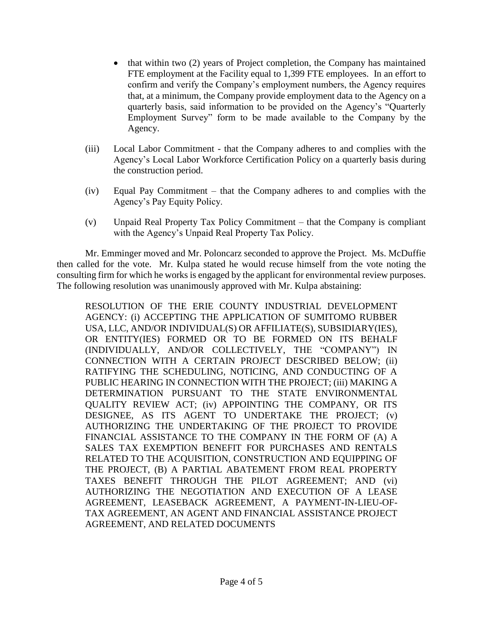- that within two (2) years of Project completion, the Company has maintained FTE employment at the Facility equal to 1,399 FTE employees. In an effort to confirm and verify the Company's employment numbers, the Agency requires that, at a minimum, the Company provide employment data to the Agency on a quarterly basis, said information to be provided on the Agency's "Quarterly Employment Survey" form to be made available to the Company by the Agency.
- (iii) Local Labor Commitment that the Company adheres to and complies with the Agency's Local Labor Workforce Certification Policy on a quarterly basis during the construction period.
- (iv) Equal Pay Commitment that the Company adheres to and complies with the Agency's Pay Equity Policy.
- (v) Unpaid Real Property Tax Policy Commitment that the Company is compliant with the Agency's Unpaid Real Property Tax Policy.

Mr. Emminger moved and Mr. Poloncarz seconded to approve the Project. Ms. McDuffie then called for the vote. Mr. Kulpa stated he would recuse himself from the vote noting the consulting firm for which he works is engaged by the applicant for environmental review purposes. The following resolution was unanimously approved with Mr. Kulpa abstaining:

RESOLUTION OF THE ERIE COUNTY INDUSTRIAL DEVELOPMENT AGENCY: (i) ACCEPTING THE APPLICATION OF SUMITOMO RUBBER USA, LLC, AND/OR INDIVIDUAL(S) OR AFFILIATE(S), SUBSIDIARY(IES), OR ENTITY(IES) FORMED OR TO BE FORMED ON ITS BEHALF (INDIVIDUALLY, AND/OR COLLECTIVELY, THE "COMPANY") IN CONNECTION WITH A CERTAIN PROJECT DESCRIBED BELOW; (ii) RATIFYING THE SCHEDULING, NOTICING, AND CONDUCTING OF A PUBLIC HEARING IN CONNECTION WITH THE PROJECT; (iii) MAKING A DETERMINATION PURSUANT TO THE STATE ENVIRONMENTAL QUALITY REVIEW ACT; (iv) APPOINTING THE COMPANY, OR ITS DESIGNEE, AS ITS AGENT TO UNDERTAKE THE PROJECT; (v) AUTHORIZING THE UNDERTAKING OF THE PROJECT TO PROVIDE FINANCIAL ASSISTANCE TO THE COMPANY IN THE FORM OF (A) A SALES TAX EXEMPTION BENEFIT FOR PURCHASES AND RENTALS RELATED TO THE ACQUISITION, CONSTRUCTION AND EQUIPPING OF THE PROJECT, (B) A PARTIAL ABATEMENT FROM REAL PROPERTY TAXES BENEFIT THROUGH THE PILOT AGREEMENT; AND (vi) AUTHORIZING THE NEGOTIATION AND EXECUTION OF A LEASE AGREEMENT, LEASEBACK AGREEMENT, A PAYMENT-IN-LIEU-OF-TAX AGREEMENT, AN AGENT AND FINANCIAL ASSISTANCE PROJECT AGREEMENT, AND RELATED DOCUMENTS